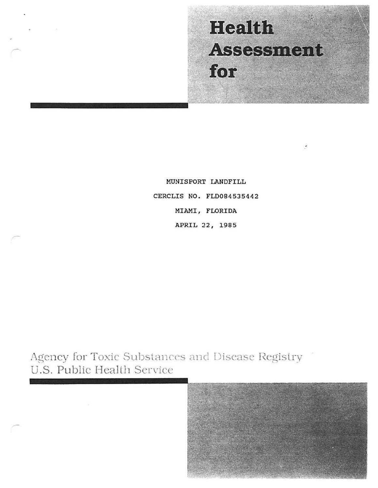# **Health** Assessment for

MUNISPORT LANDFILL CERCLIS NO. FLD084535442 MIAMI, FLORIDA APRIL 22, 1985

Agency for Toxic Substances and Disease Registry U.S. Public Health Service

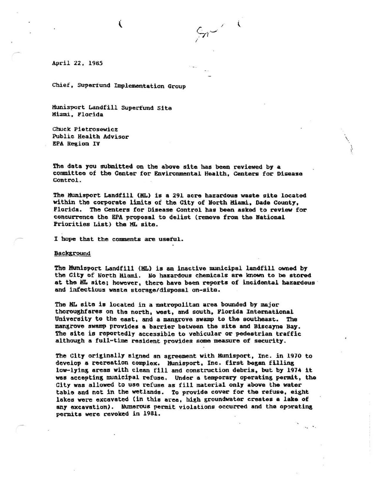Chief, SUpertund Implementation Group

€

Munisport Landfill SUperfund Site Miami. Florida

Chuck Piatrosewicz Public Health Advisor **EPA Region IV** 

The data you submitted on the above site has been reviewed by a committee of the Center for Environmental Health, Centers for Disease Control.

 $\mathbf{i}$ 

\

The Munisport Landfill (ML) is a 291 acre hazardous waste site located within the corporate limits of the City of North Miami, Dade County, Florida. The Centers for Disease Control has been asked to review for concurrence the BPA proposal to delist (remove froa tbe Rational Priorities List) the ML site.

I hope that the comments are useful.

Background

The Munisport Landfill (ML) is an inactive municipal landfill owned by the City of North Miami. No hazardous chemicals are known to be stored at the MI. aite; however, there have been reports of incidental hazardous · and infectious waste storage/disposal on-site.

The HL site is located in a metropolitan area bounded by major thoroughfares on the north, west, and south, Florida International University to the east, and a mansrove swamp to the southeast. the mangrove swamp provides a barrier between the site and Biscayne Bay. The site is reportedly accessible to vehicular or pedestrian traffic although a full-time resident provides some measure of security.

The City originally signed an agreement with Hunisport, Inc. in 1970 to develop a recreation complex. Munisport, Inc. first began filling low-lying areas with clean fill and construction debris, but by 1974 it was accepting municipal refuse. Under a temporary operating permit, the City was allowed to use refuse as fill material only above the water table and not in the wetlands. To provide cover for the refuse, eight lakes were excavated (in this area, high groundwater creates a lake of any excavation). Numerous permit violations occurred and the operating permits were revoked in 1981.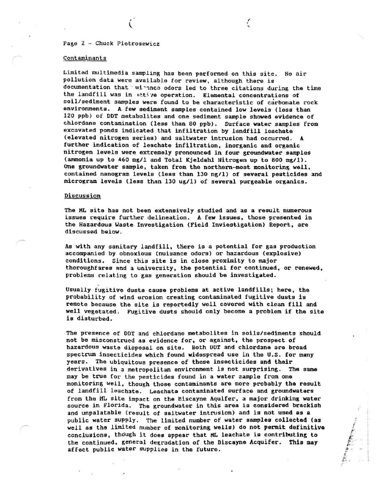## Page 2 - Chuck Pietrosewicz

(

#### Contaminants

Limited multimedia sampling has been performed on this site. No air pollution data were available for reviev, although there is documentation that winner odors led to three citations during the time the landfill was in uctive operation. Elemental concentrations of soil/sediment samples were found to be characteristic of carbonate rock environments. A fev sediment samples contained low levels (less than 120 ppb) of DOT metabolites and one sediment sample showed evidence of chlordane contamination (less than 80 ppb). Surface water samples from excavated ponds indicated that infiltration by landfill leachate (elevated nitrogen series) and saltwater intrusion had occurred. A further indication of leachate infiltration, inorganic and organic nitrogen levels were extremely pronounced in four groundwater samples (ammonia up to 460 mg/1 and Total Kjeldahl Nitrogen up to 800 mg/1). One groundwater sample, taken from the northern-most monitoring well, contained nanogram levels (less than 130 ng/1) of several pesticides and microgram levels (less than 130 ug/1) of several purgeable organics.

~ ' '

#### Discussion

The HL site has not been extensively studied and as a result numerous issues require further delineation. A fev issues, those presented in the Hazardous Waste Investigation (Field Inviestigation) Report, are discussed below.

As with any sanitary landfill, there is a potential for gas production accompanied by obnoxious (nuisance odors) or hazardous (explosive) conditions. Since this site is in close proximity to major thoroughfares and a university, the potential for continued, or renewed, problems relating to gas generation should be investigated.

Usually fugitive dusts cause problems at active landfills; here, the probability of wind erosion creating contaminated fugitive dusts is remote because the site is reportedly well covored with clean fill and well vegetated. Fugitive dusts should only become a problem if the site is disturbed.

The presence of DDT and chlordano metabolites in soils/sediments should not be misconstrued as evidence for, or against, the prospect of hazardous waste disposal on site. Both ODT and chlordane are broad spectrum insecticides which found widespread use in the U.S. for many years. The ubiquitous presence of these insecticides and their derivatives in a metropolitan environment is not surprising. The same may be true for the pesticides found in a water 3ample from one monitoring well, though those contaminants are more probably the result of landfill leachate. Leachate contaminated surface and groundwaters from the ML site impact on the Biscayne Aquifer, a major drinking water source in Florida. The groundwater in this area is considered brackish and unpalatable (result of saltwater intrusion) and is not used as a public vater supply. The limited number of water samples collected (as well as the limited number of monitoring wells) do not permit definitive conclusions, though it does appear that *HL* leachate is contributing to the continued, general degradation of the Biscayne Acquifer. This may affect public vater supplies in the future.

..  $\ddot{f}$ 

!f *t . b -.:* 4 ·

,. ~  $"$  .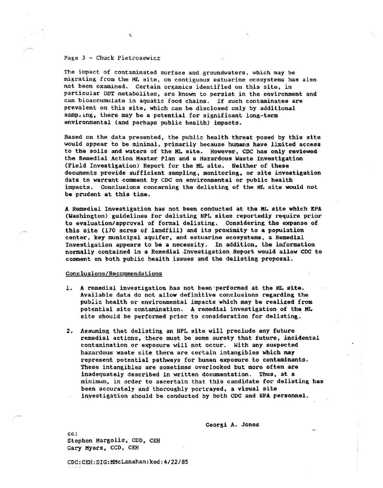#### Page 3 - Chuck Pietrosewicz

\.

The impact of contaminated surface and groundwaters, which may be migrating from the HL site, on contiguous estuarine ecosystems has also not been examined. Certain organics identified on this site, in particular DDT metabolites, are known to persist in the environment and can bioaccumulate in aquatic food chains. If such contaminates are prevalent on this site, which can be disclosed only by additional samp. ing, there may be a potential for significant long-term environmental (and perhaps public health) impacts.

Based on the data presented, the public health threat posed by this site would appear to be minimal, primarily because humans have limited access to the soils and waters of the ML site. However, CDC has only reviewed the Remedial Action Master Plan and a Hazardous Waste Investigation (Field Investigation) Report for the ML site. Neither of these documents provide sufficient sampling, monitoring, or site inveatigation data to warrant comment by CDC on environmental or public health impacts. Conclusions concerning the delisting of the ML site would not be prudent at this time.

A Remedial Investigation has not been conducted at the ML site which EPA (Washington) guidelines for dalisting NPL sites reportedly require prior to evaluation/approval of formal delisting. Considering the expanse of this site (170 acres of landfill) and its proximity to a population center, key municipal aquifer, and estuarine ecosystema, a Remedial Investigation appears to be a necessity. In addition, the information normally contained in a Remedial ·Investigation Report would allow CDC to comment on both public health issues and the delisting proposal.

### Conclusions/Recommendations

- 1. A remedial investigation has not been performed at the HL site. Available data do not allow definitive conclusions regarding the public health or environmental impacts which may be realized from potential site contamination. A remedial investigation of the ML site should be performed prior to consideration for delisting.
- 2. Assuming that delisting an NPL site will preclude any future remedial actions, there must be some surety that future, incidental contamination or exposure will not occur. With any suspected hazardous waste site there are certain intangibles which may represent potential pathways for human exposure to contaminants. These intangibles are sometimes overlooked but more often are inadequately described in written documentation. Tbua, at a minimum, in order to ascertain that this candidate for delisting has been accurately and thoroughly portrayed, a visual site inyestigation should be conducted by both CDC and EPA personnel.

Gaorsi A. Jones

cc: Stephen Margolis, COD, CEH Gary Hyers, CCO, CEH

COC:CEH:SIG:HMcLanahan:ked:4/22/85